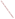